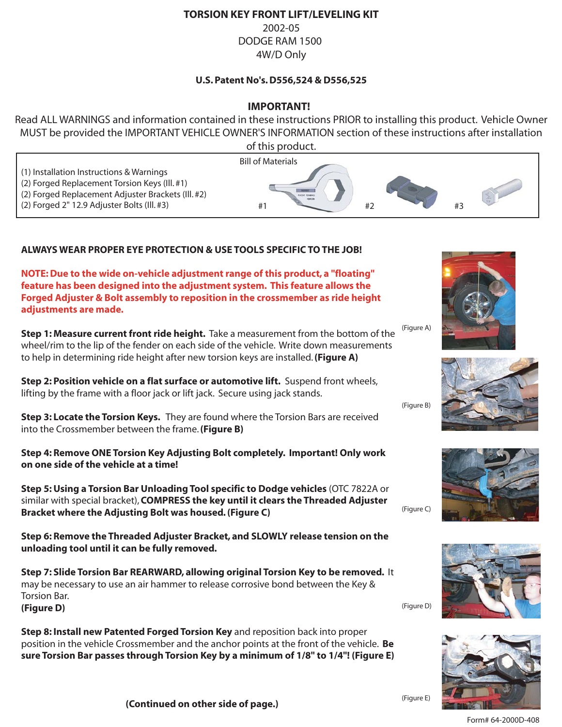#### **TORSION KEY FRONT LIFT/LEVELING KIT**

2002-05 DODGE RAM 1500 4W/D Only

#### **U.S. Patent No's. D556,524 & D556,525**

### **IMPORTANT!**

Read ALL WARNINGS and information contained in these instructions PRIOR to installing this product. Vehicle Owner MUST be provided the IMPORTANT VEHICLE OWNER'S INFORMATION section of these instructions after installation



### **ALWAYS WEAR PROPER EYE PROTECTION & USE TOOLS SPECIFIC TO THE JOB!**

**NOTE: Due to the wide on-vehicle adjustment range of this product, a "floating" feature has been designed into the adjustment system. This feature allows the Forged Adjuster & Bolt assembly to reposition in the crossmember as ride height adjustments are made.**

**Step 1: Measure current front ride height.** Take a measurement from the bottom of the wheel/rim to the lip of the fender on each side of the vehicle. Write down measurements to help in determining ride height after new torsion keys are installed. **(Figure A)** (Figure A)

**Step 2: Position vehicle on a flat surface or automotive lift.** Suspend front wheels, lifting by the frame with a floor jack or lift jack. Secure using jack stands.

**Step 3: Locate the Torsion Keys.** They are found where the Torsion Bars are received into the Crossmember between the frame. **(Figure B)**

**Step 4: Remove ONE Torsion Key Adjusting Bolt completely. Important! Only work on one side of the vehicle at a time!**

**Step 5: Using a Torsion Bar Unloading Tool specific to Dodge vehicles** (OTC 7822A or similar with special bracket), **COMPRESS the key until it clears the Threaded Adjuster Bracket where the Adjusting Bolt was housed. (Figure C)**

**Step 6: Remove the Threaded Adjuster Bracket, and SLOWLY release tension on the unloading tool until it can be fully removed.**

**Step 7: Slide Torsion Bar REARWARD, allowing original Torsion Key to be removed.** It may be necessary to use an air hammer to release corrosive bond between the Key & Torsion Bar. **(Figure D)**

**Step 8: Install new Patented Forged Torsion Key** and reposition back into proper position in the vehicle Crossmember and the anchor points at the front of the vehicle. **Be sure Torsion Bar passes through Torsion Key by a minimum of 1/8" to 1/4"! (Figure E)**











(Figure E) **(Continued on other side of page.)**

(Figure D)

(Figure B)

(Figure C)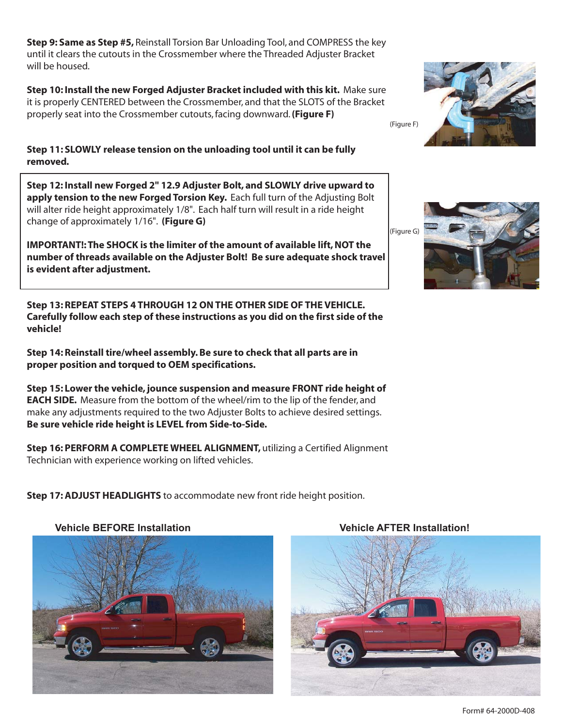**Step 9: Same as Step #5,** Reinstall Torsion Bar Unloading Tool, and COMPRESS the key until it clears the cutouts in the Crossmember where the Threaded Adjuster Bracket will be housed.

**Step 10: Install the new Forged Adjuster Bracket included with this kit.** Make sure it is properly CENTERED between the Crossmember, and that the SLOTS of the Bracket properly seat into the Crossmember cutouts, facing downward. **(Figure F)**

**Step 11: SLOWLY release tension on the unloading tool until it can be fully removed.**

**Step 12: Install new Forged 2" 12.9 Adjuster Bolt, and SLOWLY drive upward to apply tension to the new Forged Torsion Key.** Each full turn of the Adjusting Bolt will alter ride height approximately 1/8". Each half turn will result in a ride height change of approximately 1/16". **(Figure G)**

**IMPORTANT!: The SHOCK is the limiter of the amount of available lift, NOT the number of threads available on the Adjuster Bolt! Be sure adequate shock travel is evident after adjustment.**

**Step 13: REPEAT STEPS 4 THROUGH 12 ON THE OTHER SIDE OF THE VEHICLE. Carefully follow each step of these instructions as you did on the first side of the vehicle!**

**Step 14: Reinstall tire/wheel assembly. Be sure to check that all parts are in proper position and torqued to OEM specifications.**

**Step 15: Lower the vehicle, jounce suspension and measure FRONT ride height of EACH SIDE.** Measure from the bottom of the wheel/rim to the lip of the fender, and make any adjustments required to the two Adjuster Bolts to achieve desired settings. **Be sure vehicle ride height is LEVEL from Side-to-Side.**

**Step 16: PERFORM A COMPLETE WHEEL ALIGNMENT,** utilizing a Certified Alignment Technician with experience working on lifted vehicles.

**Step 17: ADJUST HEADLIGHTS** to accommodate new front ride height position.